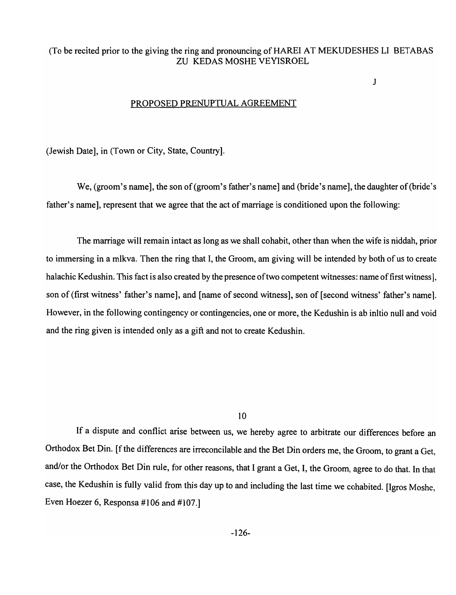## (To be recited prior to the giving the ring and pronouncing of HAREI AT MEKUDESHES LI BETABAS ZU KEDAS MOSHE VEYISROEL

J

#### PROPOSED PRENUPTUAL AGREEMENT

(Jewish Date], in (Town or City, State, Country].

We, (groom's name], the son of (groom's father's name] and (bride's name], the daughter of (bride's father's name], represent that we agree that the act of marriage is conditioned upon the following:

The marriage will remain intact as long as we shall cohabit, other than when the wife is niddah, prior to immersing in a mlkva. Then the ring that I, the Groom, am giving will be intended by both of us to create halachic Kedushin. This fact is also created by the presence of two competent witnesses: name of first witness. son of (first witness' father's name], and [name of second witness], son of [second witness' father's name]. However, in the following contingency or contingencies, one or more, the Kedushin is ab initio null and void and the ring given is intended only as a gift and not to create Kedushin.

10

If a dispute and conflict arise between us, we hereby agree to arbitrate our differences before an Orthodox Bet Din. [f the differences are irreconcilable and the Bet Din orders me, the Groom, to grant a Get, and/or the Orthodox Bet Din rule, for other reasons, that I grant a Get, I, the Groom, agree to do that. In that case, the Kedushin is fully valid from this day up to and including the last time we cohabited. [Igros Moshe, Even Hoezer 6, Responsa #106 and #107.]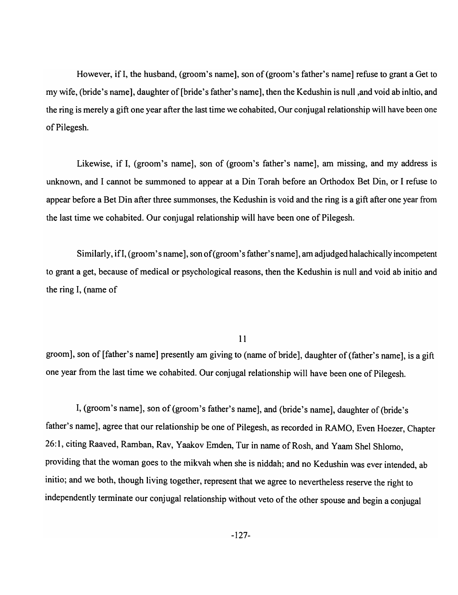However, if I, the husband, (groom's name], son of (groom's father's name] refuse to grant a Get to my wife, (bride's name], daughter of [bride's father's name], then the Kedushin is null ,and void ab inItio, and the ring is merely a gift one year after the last time we cohabited, Our conjugal relationship will have been one of Pilegesh.

Likewise, if I, (groom's name], son of (groom's father's name], am missing, and my address is unknown, and I cannot be summoned to appear at a Din Torah before an Orthodox Bet Din, or I refuse to appear before a Bet Din after three summonses, the Kedushin is void and the ring is a gift after one year from the last time we cohabited. Our conjugal relationship will have been one of Pilegesh.

Similarly, if I, (groom's name], son of (groom's father's name], am adjudged halachically incompetent to grant a get, because of medical or psychological reasons, then the Kedushin is null and void ab initio and the ring I, (name of

## 11

groom], son of [father's name] presently am giving to (name of bride], daughter of (father's name], is a gift one year from the last time we cohabited. Our conjugal relationship will have been one of Pilegesh.

I, (groom's name], son of (groom's father's name], and (bride's name], daughter of (bride's father's name], agree that our relationship be one of Pilegesh, as recorded in RAMO, Even Hoezer, Chapter 26:1, citing Raaved, Ramban, Rav, Yaakov Emden, Tur in name of Rosh, and Yaam Shel Shlomo, providing that the woman goes to the mikvah when she is niddah; and no Kedushin was ever intended, ab initio; and we both, though living together, represent that we agree to nevertheless reserve the right to independently terminate our conjugal relationship without veto of the other spouse and begin a conjugal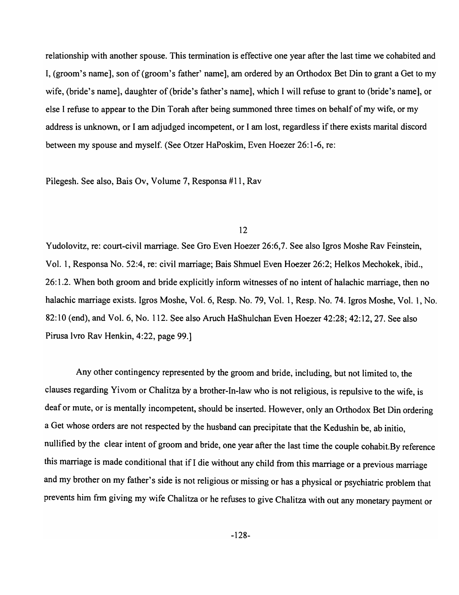relationship with another spouse. This termination is effective one year after the last time we cohabited and I, (groom's name], son of (groom's father' name], am ordered by an Orthodox Bet Din to grant a Get to my wife, (bride's name], daughter of (bride's father's name], which I will refuse to grant to (bride's name], or else I refuse to appear to the Din Torah after being summoned three times on behalf of my wife, or my address is unknown, or I am adjudged incompetent, or I am lost, regardless if there exists marital discord between my spouse and myself. (See Otzer HaPoskim, Even Hoezer 26: 1-6, re:

Pilegesh. See also, Bais Ov, Volume 7, Responsa #11, Rav

## 12

Yudolovitz, re: court-civil marriage. See Gro Even Hoezer 26:6,7. See also Igros Moshe Rav Feinstein, Vol. 1, Responsa No. 52:4, re: civil marriage; Bais Shmuel Even Hoezer 26:2; Helkos Mechokek, ibid., 26: 1.2. When both groom and bride explicitly inform witnesses of no intent of halachic marriage, then no halachic marriage exists. Igros Moshe, Vol. 6, Resp. No. 79, Vol. 1, Resp. No. 74. Igros Moshe, Vol. 1, No. 82:10 (end), and Vol. 6, No. 112. See also Aruch HaShulchan Even Hoezer 42:28; 42:12, 27. See also Pirusa lvro Rav Henkin, 4:22, page 99.]

Any other contingency represented by the groom and bride, including, but not limited to, the clauses regarding Yivom or Chalitza by a brother-In-law who is not religious, is repulsive to the wife, is deaf or mute, or is mentally incompetent, should be inserted. However, only an Orthodox Bet Din ordering a Get whose orders are not respected by the husband can precipitate that the Kedushin be, ab initio, nullified by the clear intent of groom and bride, one year after the last time the couple cohabit.By reference this marriage is made conditional that if I die without any child from this marriage or a previous marriage and my brother on my father's side is not religious or missing or has a physical or psychiatric problem that prevents him frm giving my wife Chalitza or he refuses to give Chalitza with out any monetary payment or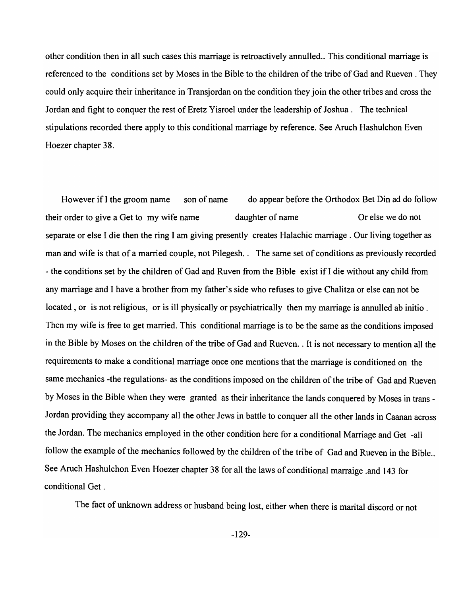other condition then in all such cases this marriage is retroactively annulled .. This conditional marriage is referenced to the conditions set by Moses in the Bible to the children of the tribe of Gad and Rueven . They could only acquire their inheritance in Transjordan on the condition they join the other tribes and cross the Jordan and fight to conquer the rest of Eretz Yisroel under the leadership of Joshua. The technical stipulations recorded there apply to this conditional marriage by reference. See Aruch Hashulchon Even Hoezer chapter 38.

However if I the groom name son of name do appear before the Orthodox Bet Din ad do follow their order to give a Get to my wife name daughter of name Or else we do not separate or else I die then the ring I am giving presently creates Halachic marriage. Our living together as man and wife is that of a married couple, not Pilegesh.. The same set of conditions as previously recorded - the conditions set by the children of Gad and Ruven from the Bible exist if I die without any child from any marriage and I have a brother from my father's side who refuses to give Chalitza or else can not be located, or is not religious, or is ill physically or psychiatrically then my marriage is annulled ab initio. Then my wife is free to get married. This conditional marriage is to be the same as the conditions imposed in the Bible by Moses on the children of the tribe of Gad and Rueven .. It is not necessary to mention all the requirements to make a conditional marriage once one mentions that the marriage is conditioned on the same mechanics -the regulations- as the conditions imposed on the children of the tribe of Gad and Rueven by Moses in the Bible when they were granted as their inheritance the lands conquered by Moses in trans - Jordan providing they accompany all the other Jews in battle to conquer all the other lands in Caanan across the Jordan. The mechanics employed in the other condition here for a conditional Marriage and Get -all follow the example of the mechanics followed by the children of the tribe of Gad and Rueven in the Bible.. See Aruch Hashulchon Even Hoezer chapter 38 for all the laws of conditional marraige .and 143 for conditional Get.

The fact of unknown address or husband being lost, either when there is marital discord or not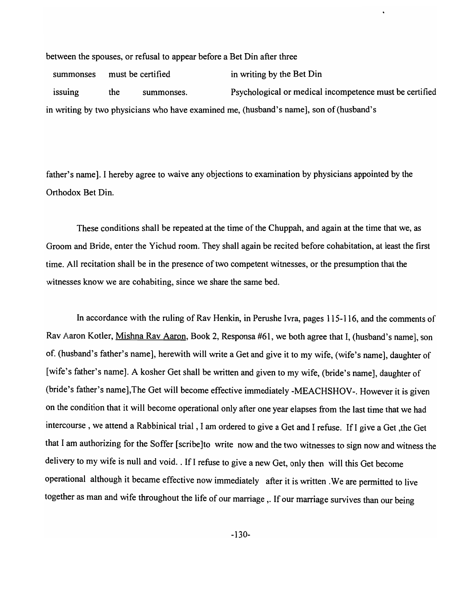between the spouses, or refusal to appear before a Bet Din after three

summonses must be certified in writing by the Bet Din issuing the summonses. Psychological or medical incompetence must be certified in writing by two physicians who have examined me, (husband's name], son of (husband's

father's name]. I hereby agree to waive any objections to examination by physicians appointed by the Orthodox Bet Din.

These conditions shall be repeated at the time of the Chuppah, and again at the time that we, as Groom and Bride, enter the Yichud room. They shall again be recited before cohabitation, at least the first time. All recitation shall be in the presence of two competent witnesses, or the presumption that the witnesses know we are cohabiting, since we share the same bed.

In accordance with the ruling of Rav Henkin, in Perushe Ivra, pages 115-116, and the comments of Rav Aaron Kotler, Mishna Rav Aaron, Book 2, Responsa #61, we both agree that I, (husband's name], son of. (husband's father's name], herewith will write a Get and give it to my wife, (wife's name], daughter of [wife's father's name]. A kosher Get shall be written and given to my wife, (bride's name], daughter of (bride's father's name],The Get will become effective immediately -MEACHSHOV-. However it is given on the condition that it will become operational only after one year elapses from the last time that we had intercourse, we attend a Rabbinical trial, I am ordered to give a Get and I refuse. If I give a Get ,the Get that I am authorizing for the Soffer [scribe]to write now and the two witnesses to sign now and witness the delivery to my wife is null and void .. If I refuse to give a new Get, only then will this Get become operational although it became effective now immediately after it is written .We are permitted to live together as man and wife throughout the life of our marriage ,. If our marriage survives than our being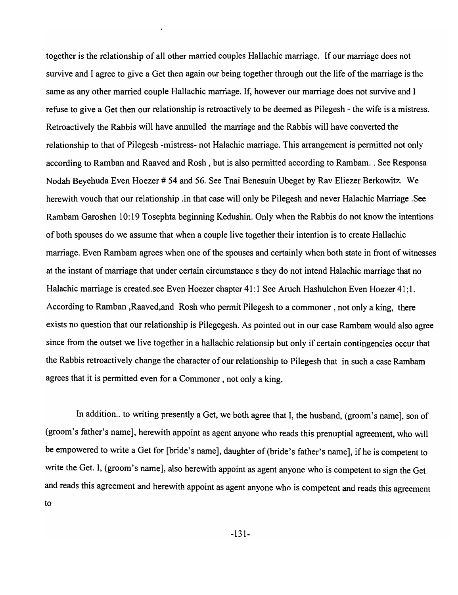together is the relationship of all other married couples Hallachic marriage. If our marriage does not survive and I agree to give a Get then again our being together through out the life of the marriage is the same as any other married couple Hallachic marriage. If, however our marriage does not survive and I refuse to give a Get then our relationship is retroactively to be deemed as Pilegesh - the wife is a mistress. Retroactively the Rabbis will have annulled the marriage and the Rabbis will have converted the relationship to that of Pilegesh -mistress- not Halachic marriage. This arrangement is permitted not only according to Ramban and Raaved and Rosh, but is also permitted according to Rambam. . See Responsa Nodah Beyehuda Even Hoezer # 54 and 56. See Tnai Benesuin Ubeget by Rav Eliezer Berkowitz. We herewith vouch that our relationship .in that case will only be Pilegesh and never Halachic Marriage .See Rambam Garoshen 10: 19 Tosephta beginning Kedushin. Only when the Rabbis do not know the intentions of both spouses do we assume that when a couple live together their intention is to create Hallachic marriage. Even Rambam agrees when one of the spouses and certainly when both state in front of witnesses at the instant of marriage that under certain circumstance s they do not intend Halachic marriage that no Halachic marriage is created. see Even Hoezer chapter 41:1 See Aruch Hashulchon Even Hoezer 41:1. According to Ramban ,Raaved,and Rosh who permit Pilegesh to a commoner, not only a king, there exists no question that our relationship is Pilegegesh. As pointed out in our case Rambam would also agree since from the outset we live together in a hallachic relationsip but only if certain contingencies occur that the Rabbis retroactively change the character of our relationship to Pilegesh that in such a case Rambam agrees that it is permitted even for a Commoner, not only a king.

In addition.. to writing presently a Get, we both agree that I, the husband, (groom's name), son of (groom's father's name], herewith appoint as agent anyone who reads this prenuptial agreement, who will be empowered to write a Get for [bride's name], daughter of (bride's father's name], ifhe is competent to write the Get. I, (groom's name], also herewith appoint as agent anyone who is competent to sign the Get and reads this agreement and herewith appoint as agent anyone who is competent and reads this agreement to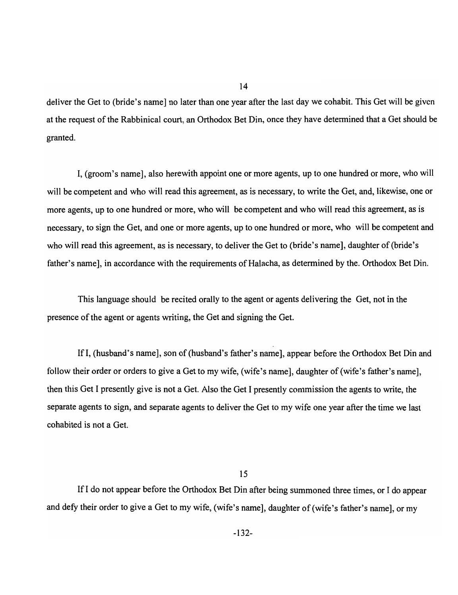deliver the Get to (bride's name] no later than one year after the last day we cohabit. This Get will be given at the request of the Rabbinical court, an Orthodox Bet Din, once they have detennined that a Get should be granted.

14

I, (groom's name], also herewith appoint one or more agents, up to one hundred or more, who will will be competent and who will read this agreement, as is necessary, to write the Get, and, likewise, one or more agents, up to one hundred or more, who will be competent and who will read this agreement, as is necessary, to sign the Get, and one or more agents, up to one hundred or more, who will be competent and who will read this agreement, as is necessary, to deliver the Get to (bride's name], daughter of (bride's father's name], in accordance with the requirements of Halacha, as determined by the. Orthodox Bet Din.

This language should be recited orally to the agent or agents delivering the Get, not in the presence of the agent or agents writing, the Get and signing the Get.

If I, (husband's name], son of (husband's father's name], appear before the Orthodox Bet Din and follow their order or orders to give a Get to my wife, (wife's name], daughter of (wife's father's name], then this Get I presently give is not a Get. Also the Get I presently commission the agents to write, the separate agents to sign, and separate agents to deliver the Get to my wife one year after the time we last cohabited is not a Get.

15

If I do not appear before the Orthodox Bet Din after being summoned three times, or I do appear and defy their order to give a Get to my wife, (wife'S name], daughter of (wife's father's name], or my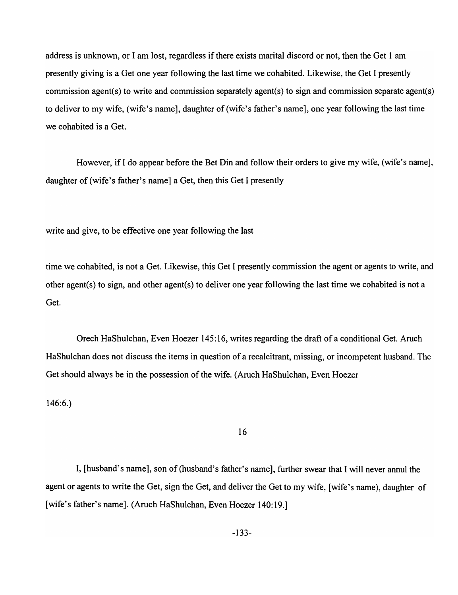address is unknown, or I am lost, regardless if there exists marital discord or not, then the Get 1 am presently giving is a Get one year following the last time we cohabited. Likewise, the Get I presently commission agent(s) to write and commission separately agent(s) to sign and commission separate agent(s) to deliver to my wife, (wife's name], daughter of (wife's father's name], one year following the last time we cohabited is a Get.

However, if I do appear before the Bet Din and follow their orders to give my wife, (wife's name], daughter of (wife's father's name] a Get, then this Get I presently

write and give, to be effective one year following the last

time we cohabited, is not a Get. Likewise, this Get I presently commission the agent or agents to write, and other agent(s) to sign, and other agent(s) to deliver one year following the last time we cohabited is not a Get.

Orech HaShulchan, Even Hoezer 145: 16, writes regarding the draft of a conditional Get. Aruch HaShulchan does not discuss the items in question of a recalcitrant, missing, or incompetent husband. The Get should always be in the possession of the wife. (Aruch HaShulchan, Even Hoezer

146:6.)

## 16

I, [husband's name], son of (husband's father's name], further swear that I will never annul the agent or agents to write the Get, sign the Get, and deliver the Get to my wife, [wife's name), daughter of [wife's father's name]. (Aruch HaShulchan, Even Hoezer 140:19.]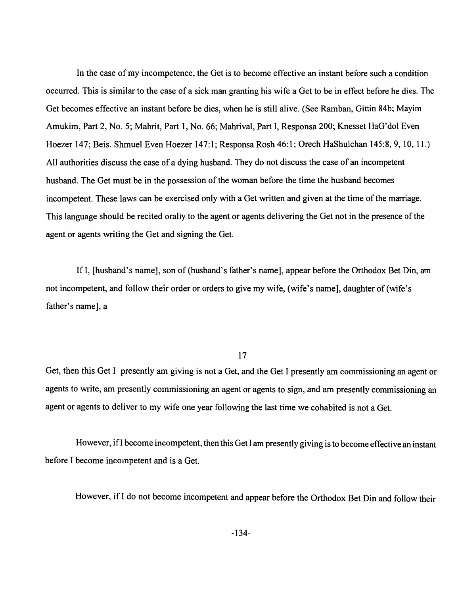In the case of my incompetence, the Get is to become effective an instant before such a condition occurred. This is similar to the case of a sick man granting his wife a Get to be in effect before he dies. The Get becomes effective an instant before be dies, when he is still alive. (See Ramban, Gittin 84b; Mayim Amukim, Part 2, No.5; Mahrit, Part 1, No. 66; Mahrival, Part I, Responsa 200; Knesset HaG'dol Even Hoezer 147; Beis. Shmuel Even Hoezer 147:1; Responsa Rosh 46:1; Orech HaShulchan 145:8,9,10,11.) All authorities discuss the case of a dying husband. They do not discuss the case of an incompetent husband. The Get must be in the possession of the woman before the time the husband becomes incompetent. These laws can be exercised only with a Get written and given at the time of the marriage. This language should be recited orally to the agent or agents delivering the Get not in the presence of the agent or agents writing the Get and signing the Get.

If I, [husband's name], son of (husband's father's name], appear before the Orthodox Bet Din, am not incompetent, and follow their order or orders to give my wife, (wife's name], daughter of (wife's father's name], a

## 17

Get, then this Get I presently am giving is not a Get, and the Get I presently am commissioning an agent or agents to write, am presently commissioning an agent or agents to sign, and am presently commissioning an agent or agents to deliver to my wife one year following the last time we cohabited is not a Get.

However, if I become incompetent, then this Get I am presently giving is to become effective an instant before I become incompetent and is a Get.

However, if I do not become incompetent and appear before the Orthodox Bet Din and follow their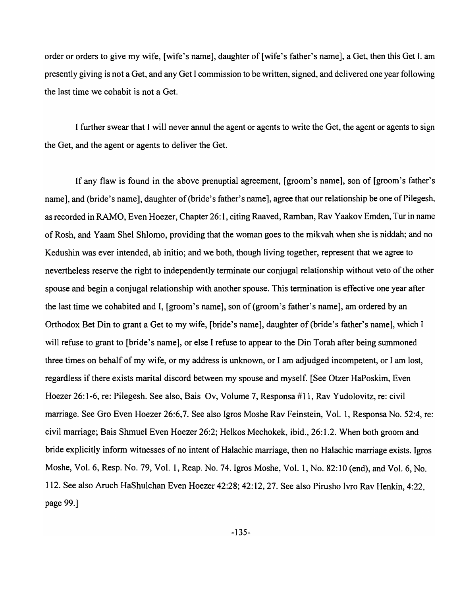order or orders to give my wife, [wife's name], daughter of [wife's father's name], a Get, then this Get I. am presently giving is not a Get, and any Get I commission to be written, signed, and delivered one year following the last time we cohabit is not a Get.

I further swear that I will never annul the agent or agents to write the Get, the agent or agents to sign the Get, and the agent or agents to deliver the Get.

If any flaw is found in the above prenuptial agreement, [groom's name], son of [groom's father's name], and (bride's name], daughter of (bride's father's name], agree that our relationship be one of Pilegesh, as recorded in RAMO, Even Hoezer, Chapter 26: 1, citing Raaved, Ramban, Rav Yaakov Emden, Tur in name of Rosh, and Yaam Shel Shlomo, providing that the woman goes to the mikvah when she is niddah; and no Kedushin was ever intended, ab initio; and we both, though living together, represent that we agree to nevertheless reserve the right to independently terminate our conjugal relationship without veto of the other spouse and begin a conjugal relationship with another spouse. This termination is effective one year after the last time we cohabited and I, [groom's name], son of (groom's father's name], am ordered by an Orthodox Bet Din to grant a Get to my wife, [bride's name], daughter of (bride's father's name], which I will refuse to grant to [bride's name], or else I refuse to appear to the Din Torah after being summoned three times on behalf of my wife, or my address is unknown, or I am adjudged incompetent, or I am lost, regardless if there exists marital discord between my spouse and myself. [See Otzer HaPoskim, Even Hoezer 26:1-6, re: Pilegesh. See also, Bais Ov, Volume 7, Responsa #11, Rav Yudolovitz, re: civil marriage. See Gro Even Hoezer 26:6,7. See also Igros Moshe Rav Feinstein, Vol. 1, Responsa No. 52:4, re: civil marriage; Bais Shmuel Even Hoezer 26:2; Helkos Mechokek, ibid., 26: 1.2. When both groom and bride explicitly inform witnesses of no intent of Halachic marriage, then no Halachic marriage exists. Igros Moshe, Vol. 6, Resp. No. 79, Vol. 1, Reap. No. 74. Igros Moshe, Vol. 1, No. 82:10 (end), and Vol. 6, No. 112. See also Aruch HaShulchan Even Hoezer 42:28; 42:12, 27. See also Pirusho lvro Rav Henkin, 4:22, page 99.]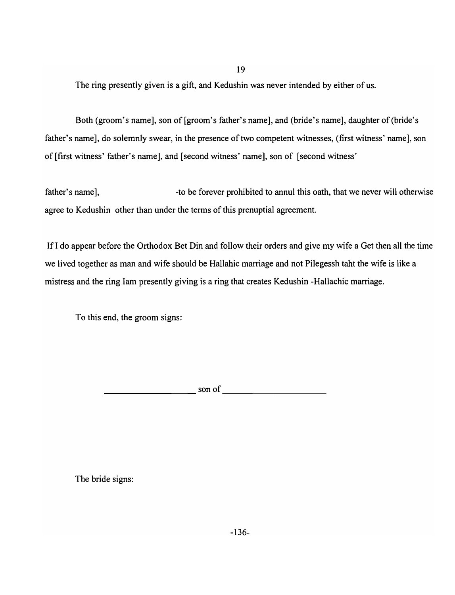19

The ring presently given is a gift, and Kedushin was never intended by either of us.

Both (groom's name], son of [groom's father's name], and (bride's name], daughter of (bride's father's name], do solemnly swear, in the presence of two competent witnesses, (first witness' name], son of [first witness' father's name], and [second witness' name], son of [second witness'

father's name], The state of the forever prohibited to annul this oath, that we never will otherwise agree to Kedushin other than under the terms of this prenuptial agreement.

If I do appear before the Orthodox Bet Din and follow their orders and give my wife a Get then all the time we lived together as man and wife should be Hallabic marriage and not Pilegessh tabt the wife is like a mistress and the ring lam presently giving is a ring that creates Kedushin -Hallachic marriage.

To this end, the groom signs:

son of

The bride signs: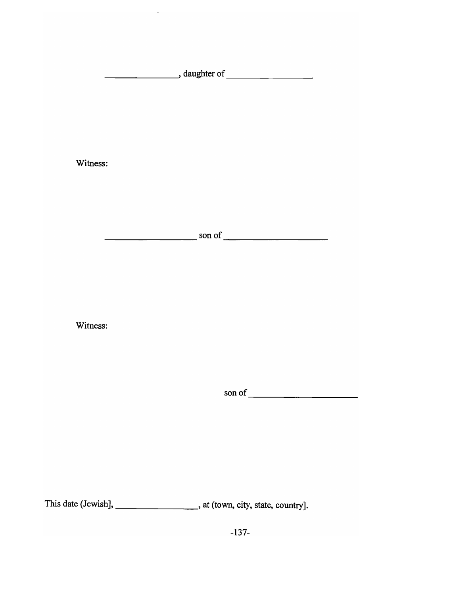\_\_\_\_\_\_ -----.:, **daughter** of \_\_\_\_\_\_\_ \_

 $\hat{\mathcal{A}}$ 

**Witness:** 

\_\_\_\_\_\_\_\_\_\_\_\_\_ sonof \_\_\_\_\_\_\_\_\_\_\_\_\_\_ \_

**Witness:** 

sonof \_\_\_\_\_\_\_\_\_\_\_ \_\_

This date (Jewish], \_\_\_\_\_\_\_\_\_\_\_\_\_\_\_\_\_\_\_\_\_\_, at (town, city, state, country].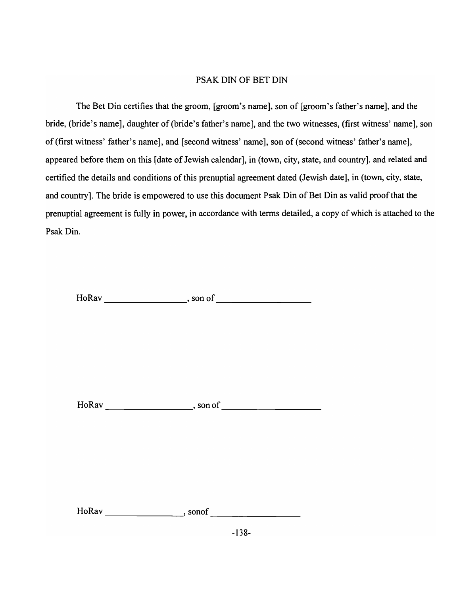## PSAK DIN OF BET DIN

The Bet Din certifies that the groom, [groom's name], son of [groom's father's name], and the bride, (bride's name], daughter of (bride's father's name], and the two witnesses, (first witness' name], son of (first witness' father's name], and [second witness' name], son of (second witness' father's name], appeared before them on this [date of Jewish calendar], in (town, city, state, and country]. and related and certified the details and conditions of this prenuptial agreement dated (Jewish date], in (town, city, state, and country]. The bride is empowered to use this document Psak Din of Bet Din as valid proof that the prenuptial agreement is fully in power, in accordance with terms detailed, a copy of which is attached to the Psak Din.

HoRav , son of

 $HoRav$   $\qquad \qquad$  , son of  $\qquad \qquad$ 

HoRav sonof  $\overline{\phantom{a}}$ , sonof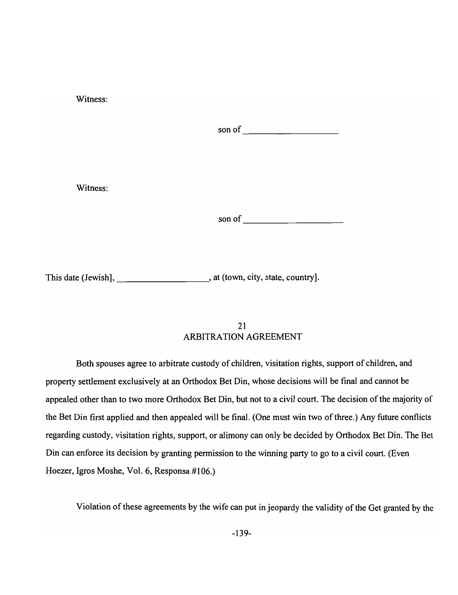| Witness: |  |
|----------|--|
|          |  |
|          |  |
| Witness: |  |
|          |  |
|          |  |

This date (Jewish], \_\_\_\_\_\_\_\_\_\_\_\_\_\_\_\_\_\_\_\_\_\_\_, at (town, city, state, country].

## 21 ARBITRATION AGREEMENT

Both spouses agree to arbitrate custody of children, visitation rights, support of children, and property settlement exclusively at an Orthodox Bet Din, whose decisions will be final and cannot be appealed other than to two more Orthodox Bet Din, but not to a civil court. The decision of the majority of the Bet Din first applied and then appealed will be final. (One must win two of three.) Any future conflicts regarding custody, visitation rights, support, or alimony can only be decided by Orthodox Bet Din. The Bet Din can enforce its decision by granting permission to the winning party to go to a civil court. (Even Hoezer, Igros Moshe, Vol. 6, Responsa #106.)

Violation of these agreements by the wife can put in jeopardy the validity of the Get granted by the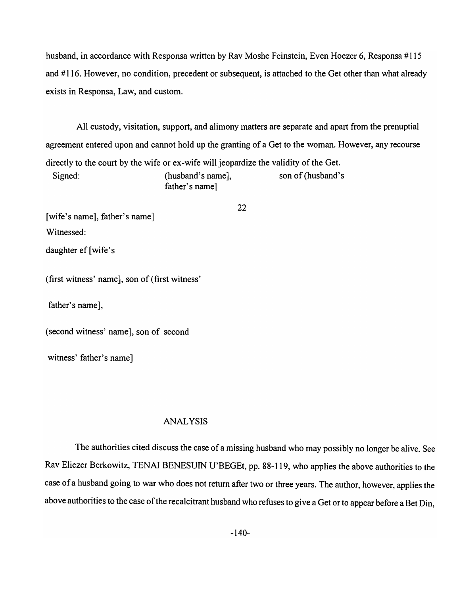husband, in accordance with Responsa written by Rav Moshe Feinstein, Even Hoezer 6, Responsa #115 and # 116. However, no condition, precedent or subsequent, is attached to the Get other than what already exists in Responsa, Law, and custom.

All custody, visitation, support, and alimony matters are separate and apart from the prenuptial agreement entered upon and cannot hold up the granting of a Get to the woman. However, any recourse directly to the court by the wife or ex-wife will jeopardize the validity of the Get. Signed: (husband's name], son of (husband's son of (husband's son of  $\alpha$ father's name]

22

[wife's name], father's name] Witnessed:

daughter ef [wife's

(first witness' name], son of (first witness'

father's name],

(second witness' name], son of second

witness' father's name]

#### ANALYSIS

The authorities cited discuss the case of a missing husband who may possibly no longer be alive. See Rav Eliezer Berkowitz, TENAI BENESUIN U'BEGEt, pp. 88-119, who applies the above authorities to the case ofa husband going to war who does not return after two or three years. The author, however, applies the above authorities to the case of the recalcitrant husband who refuses to give a Get or to appear before a Bet Din,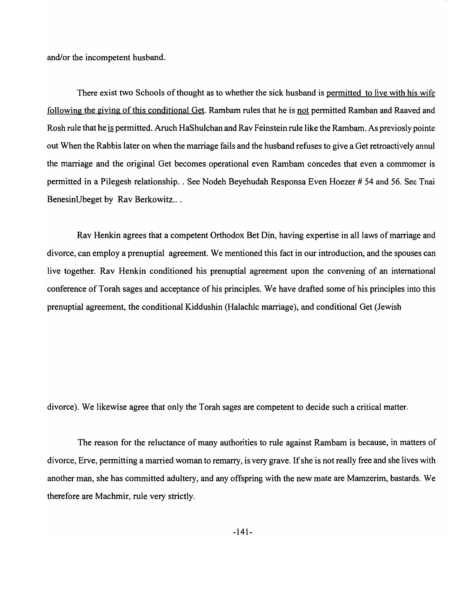and/or the incompetent husband.

There exist two Schools of thought as to whether the sick husband is permitted to live with his wife following the giving of this conditional Get. Rambam rules that he is not permitted Ramban and Raaved and Rosh rule that he is permitted. Aruch HaShulchan and Rav Feinstein rule like the Rambam. As previosly pointe out When the Rabbis later on when the marriage fails and the husband refuses to give a Get retroactively annul the marriage and the original Get becomes operational even Rambam concedes that even a commomer is permitted in a Pilegesh relationship .. See Nodeh Beyehudah Responsa Even Hoezer # 54 and 56. See Tnai BenesinUbeget by Rav Berkowitz...

Rav Henkin agrees that a competent Orthodox Bet Din, having expertise in all laws of marriage and divorce, can employ a prenuptial agreement. We mentioned this fact in our introduction, and the spouses can live together. Rav Henkin conditioned his prenuptial agreement upon the convening of an international conference of Torah sages and acceptance of his principles. We have drafted some of his principles into this prenuptial agreement, the conditional Kiddushin (Halachlc marriage), and conditional Get (Jewish

divorce). We likewise agree that only the Torah sages are competent to decide such a critical matter.

The reason for the reluctance of many authorities to rule against Rambam is because, in matters of divorce, Erve, permitting a married woman to remarry, is very grave. If she is not really free and she lives with another man, she has committed adultery, and any offspring with the new mate are Mamzerim, bastards. We therefore are Machmir, rule very strictly.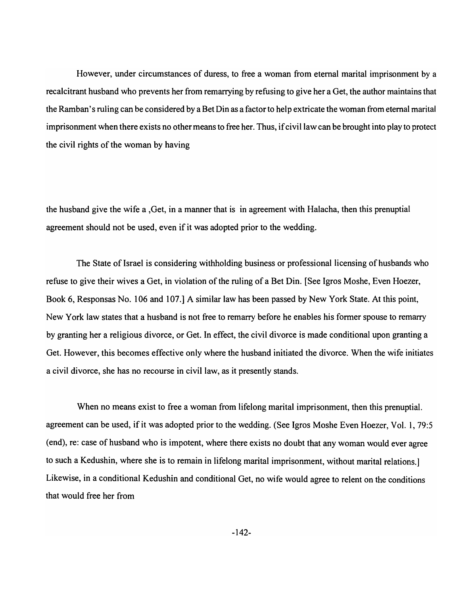However, under circumstances of duress, to free a woman from eternal marital imprisonment by a recalcitrant husband who prevents her from remarrying by refusing to give her a Get, the author maintains that the Ramban's ruling can be considered by a Bet Din as a factor to help extricate the woman from eternal marital imprisonment when there exists no other means to free her. Thus, if civil law can be brought into play to protect the civil rights of the woman by having

the husband give the wife a ,Get, in a manner that is in agreement with Halacha, then this prenuptial agreement should not be used, even if it was adopted prior to the wedding.

The State of Israel is considering withholding business or professional licensing of husbands who refuse to give their wives a Get, in violation of the ruling of a Bet Din. [See Igros Moshe, Even Hoezer, Book 6, Responsas No. 106 and 107.] A similar law has been passed by New York State. At this point, New York law states that a husband is not free to remarry before he enables his former spouse to remarry by granting her a religious divorce, or Get. In effect, the civil divorce is made conditional upon granting a Get. However, this becomes effective only where the husband initiated the divorce. When the wife initiates a civil divorce, she has no recourse in civil law, as it presently stands.

When no means exist to free a woman from lifelong marital imprisonment, then this prenuptial. agreement can be used, if it was adopted prior to the wedding. (See Igros Moshe Even Hoezer, Vol. 1,79:5 (end), re: case of husband who is impotent, where there exists no doubt that any woman would ever agree to such a Kedushin, where she is to remain in lifelong marital imprisonment, without marital relations.] Likewise, in a conditional Kedushin and conditional Get, no wife would agree to relent on the conditions that would free her from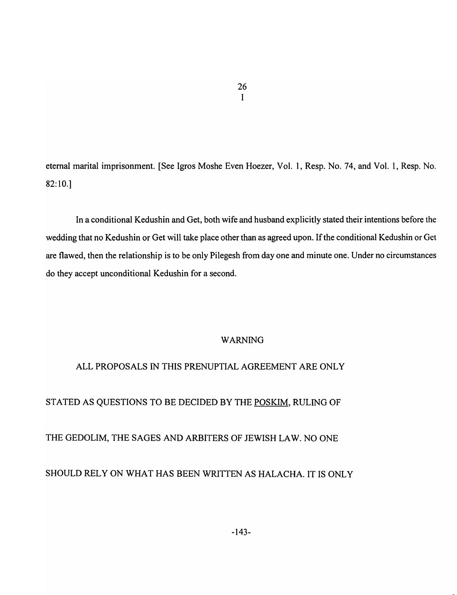eternal marital imprisonment. [See Igros Moshe Even Hoezer, Vol. 1, Resp. No. 74, and Vol. 1, Resp. No. 82:10.]

In a conditional Kedushin and Get, both wife and husband explicitly stated their intentions before the wedding that no Kedushin or Get will take place other than as agreed upon. If the conditional Kedushin or Get are flawed, then the relationship is to be only Pilegesh from day one and minute one. Under no circumstances do they accept unconditional Kedushin for a second.

## WARNING

## ALL PROPOSALS IN THIS PRENUPTIAL AGREEMENT ARE ONLY

# STATED AS QUESTIONS TO BE DECIDED BY THE POSKIM, RULING OF

## THE GEDOLIM, THE SAGES AND ARBITERS OF JEWISH LAW. NO ONE

# SHOULD RELY ON WHAT HAS BEEN WRITTEN AS HALACHA. IT IS ONLY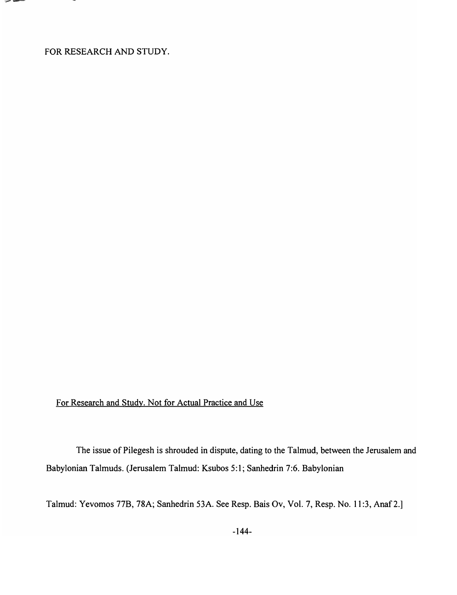FOR RESEARCH AND STUDY.

-భూ 19 ÷

# For Research and Study. Not for Actual Practice and Use

The issue of Pilegesh is shrouded in dispute, dating to the Talmud, between the Jerusalem and Babylonian Talmuds. (Jerusalem Talmud: Ksubos 5: 1; Sanhedrin 7:6. Babylonian

Talmud: Yevomos 77B, 78A; Sanhedrin 53A. See Resp. Bais Ov, Vol. 7, Resp. No. 11 :3, Anaf2.]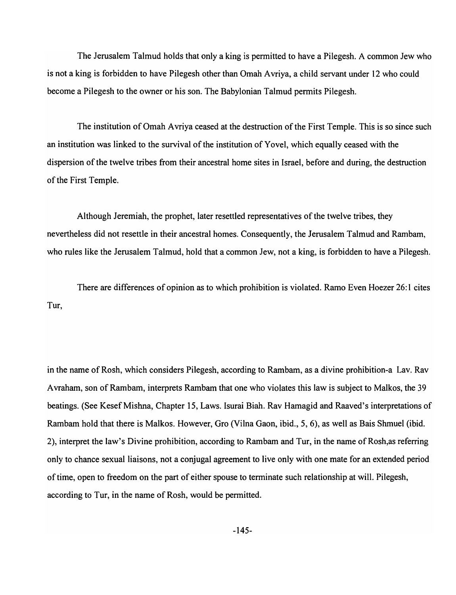The Jerusalem Talmud holds that only a king is permitted to have a Pilegesh. A common Jew who is not a king is forbidden to have Pilegesh other than Omah A vriya, a child servant under 12 who could become a Pilegesh to the owner or his son. The Babylonian Talmud permits Pilegesh.

The institution of Omah Avriya ceased at the destruction of the First Temple. This is so since such an institution was linked to the survival of the institution of Y ovel, which equally ceased with the dispersion of the twelve tribes from their ancestral home sites in Israel, before and during, the destruction of the First Temple.

Although Jeremiah, the prophet, later resettled representatives of the twelve tribes, they nevertheless did not resettle in their ancestral homes. Consequently, the Jerusalem Talmud and Rambam, who rules like the Jerusalem Talmud, hold that a common Jew, not a king, is forbidden to have a Pilegesh.

There are differences of opinion as to which prohibition is violated. Ramo Even Hoezer 26: 1 cites Tur,

in the name of Rosh, which considers Pilegesh, according to Rambam, as a divine prohibition-a Lav. Rav Avraham, son of Rambam, interprets Rambam that one who violates this law is subject to Malkos, the 39 beatings. (See Kesef Mishna, Chapter 15, Laws. Isurai Biah. Rav Hamagid and Raaved's interpretations of Rambam hold that there is Malkos. However, Gro (Vilna Gaon, ibid., 5, 6), as well as Bais Shmuel (ibid. 2), interpret the law's Divine prohibition, according to Rambam and Tur, in the name of Rosh,as referring only to chance sexual liaisons, not a conjugal agreement to live only with one mate for an extended period of time, open to freedom on the part of either spouse to terminate such relationship at will. Pilegesh, according to Tur, in the name of Rosh, would be permitted.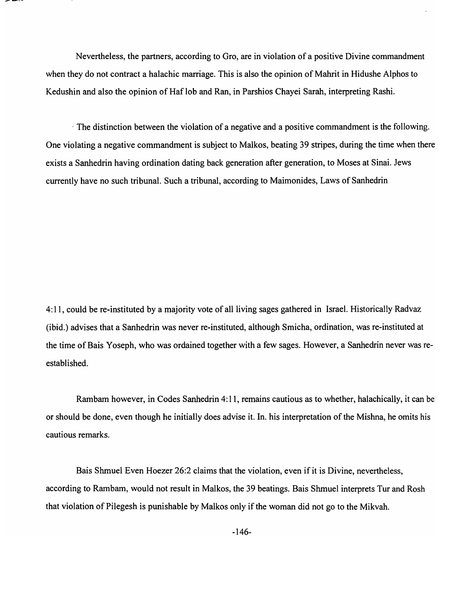Nevertheless, the partners, according to Oro, are in violation of a positive Divine commandment when they do not contract a halachic marriage. This is also the opinion of Mahrit in Hidushe Alphos to Kedushin and also the opinion of Haf lob and Ran, in Parshios Chayei Sarah, interpreting Rashi.

. The distinction between the violation of a negative and a positive commandment is the following. One violating a negative commandment is subject to Malkos, beating 39 stripes, during the time when there exists a Sanhedrin having ordination dating back generation after generation, to Moses at Sinai. Jews currently have no such tribunal. Such a tribunal, according to Maimonides, Laws of Sanhedrin

4: 11, could be re-instituted by a majority vote of all living sages gathered in Israel. Historically Radvaz (ibid.) advises that a Sanhedrin was never re-instituted, although Smicha, ordination, was re-instituted at the time of Bais Yoseph, who was ordained together with a few sages. However, a Sanhedrin never was reestablished.

Rambam however, in Codes Sanhedrin 4: 11, remains cautious as to whether, halachically, it can be or should be done, even though he initially does advise it. In. his interpretation of the Mishna, he omits his cautious remarks.

Bais Shmuel Even Hoezer 26:2 claims that the violation, even if it is Divine, nevertheless, according to Rambam, would not result in Malkos, the 39 beatings. Bais Shmuel interprets Tur and Rosh that violation of Pilegesh is punishable by Malkos only if the woman did not go to the Mikvah.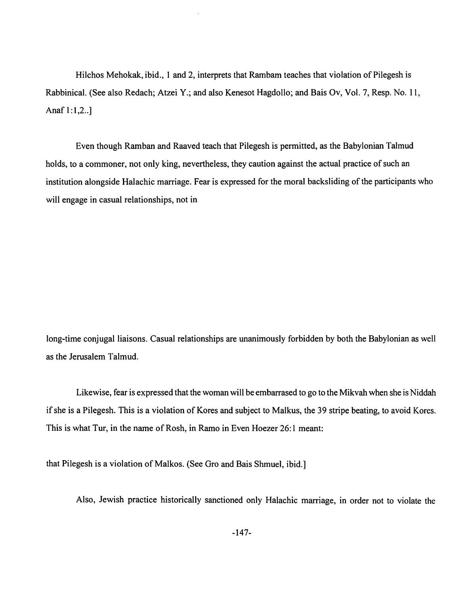Hilchos Mehokak, ibid., 1 and 2, interprets that Rambam teaches that violation of Pilegesh is Rabbinical. (See also Redach; Atzei Y.; and also Kenesot Hagdollo; and Bais Ov, Vol. 7, Resp. No. 11, Anaf  $1:1,2...$ ]

Even though Ramban and Raaved teach that Pilegesh is permitted, as the Babylonian Talmud holds, to a commoner, not only king, nevertheless, they caution against the actual practice of such an institution alongside Halachic marriage. Fear is expressed for the moral backsliding of the participants who will engage in casual relationships, not in

long-time conjugal liaisons. Casual relationships are unanimously forbidden by both the Babylonian as well as the Jerusalem Talmud.

Likewise, fear is expressed that the woman will be embarrased to go to the Mikvah when she is Niddah if she is a Pilegesh. This is a violation of Kores and subject to Malkus, the 39 stripe beating, to avoid Kores. This is what Tur, in the name of Rosh, in Ramo in Even Hoezer 26: 1 meant:

that Pilegesh is a violation of Malkos. (See Oro and Bais Shmuel, ibid.]

Also, Jewish practice historically sanctioned only Halachic marriage, in order not to violate the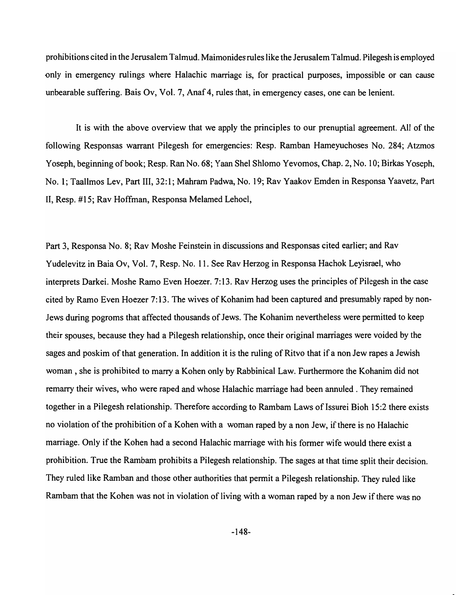prohibitions cited in the Jerusalem Talmud. Maimonides rules like the Jerusalem Talmud. Pilegesh is employed only in emergency rulings where Halachic marriage is, for practical purposes, impossible or can cause unbearable suffering. Bais Ov, Vol. 7, Anaf 4, rules that, in emergency cases, one can be lenient.

It is with the above overview that we apply the principles to our prenuptial agreement. All of the following Responsas warrant Pilegesh for emergencies: Resp. Ramban Hameyuchoses No. 284; Atzmos Yoseph, beginning of book; Resp. Ran No. 68; Yaan Shel Shlomo Yevomos, Chap. 2, No. 10; Birkas Yoseph, No.1; Taallmos Lev, Part 111,32:1; Mahram Padwa, No. 19; Rav Yaakov Emden in Responsa Yaavetz, Part II, Resp. # 15; Rav Hoffman, Responsa Melamed Lehoel,

Part 3, Responsa No.8; Rav Moshe Feinstein in discussions and Responsas cited earlier; and Rav Yudelevitz in Baia Ov, Vol. 7, Resp. No. 11. See Rav Herzog in Responsa Hachok Leyisrael, who interprets Darkei. Moshe Ramo Even Hoezer. 7:13. Rav Herzog uses the principles of Pilegesh in the case cited by Ramo Even Hoezer 7: 13. The wives of Kohanim had been captured and presumably raped by non-Jews during pogroms that affected thousands of Jews. The Kohanim nevertheless were permitted to keep their spouses, because they had a Pilegesh relationship, once their original marriages were voided by the sages and poskim of that generation. In addition it is the ruling of Ritvo that if a non Jew rapes a Jewish woman, she is prohibited to marry a Kohen only by Rabbinical Law. Furthermore the Kohanim did not remarry their wives, who were raped and whose Halachic marriage had been annuled . They remained together in a Pilegesh relationship. Therefore according to Rambam Laws of Issurei Bioh 15:2 there exists no violation of the prohibition of a Kohen with a woman raped by a non Jew, if there is no Halachic marriage. Only if the Kohen had a second Halachic marriage with his former wife would there exist a prohibition. True the Rambam prohibits a Pilegesh relationship. The sages at that time split their decision. They ruled like Ramban and those other authorities that permit a Pilegesh relationship. They ruled like Rambam that the Kohen was not in violation of living with a woman raped by a non Jew if there was no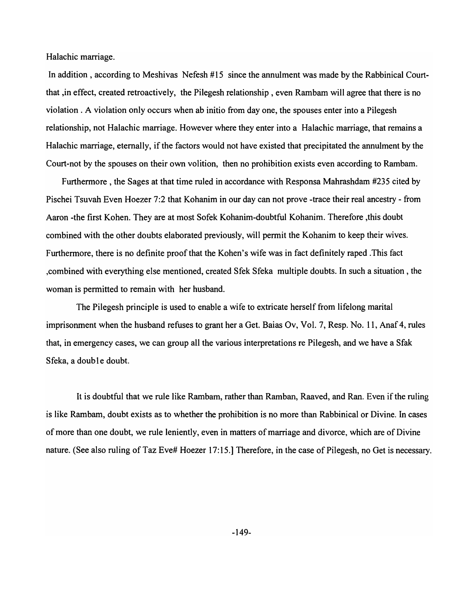Halachic marriage.

In addition, according to Meshivas Nefesh #15 since the annulment was made by the Rabbinical Courtthat ,in effect, created retroactively, the Pilegesh relationship, even Rambam will agree that there is no violation. A violation only occurs when ab initio from day one, the spouses enter into a Pilegesh relationship, not Halachic marriage. However where they enter into a Halachic marriage, that remains a Halachic marriage, eternally, if the factors would not have existed that precipitated the annulment by the Court-not by the spouses on their own volition, then no prohibition exists even according to Rambam.

Furthermore, the Sages at that time ruled in accordance with Responsa Mahrashdam #235 cited by Pischei Tsuvah Even Hoezer 7:2 that Kohanim in our day can not prove -trace their real ancestry - from Aaron -the first Kohen. They are at most Sofek Kohanim-doubtful Kohanim. Therefore ,this doubt combined with the other doubts elaborated previously, will permit the Kohanim to keep their wives. Furthermore, there is no definite proof that the Kohen's wife was in fact definitely raped .This fact ,combined with everything else mentioned, created Sfek Sfeka multiple doubts. In such a situation, the woman is permitted to remain with her husband.

The Pilegesh principle is used to enable a wife to extricate herself from lifelong marital imprisonment when the husband refuses to grant her a Get. Baias Ov, Vol. 7, Resp. No. 11, Anaf 4, rules that, in emergency cases, we can group all the various interpretations re Pilegesh, and we have a Sfak Sfeka, a double doubt.

It is doubtful that we rule like Rambam, rather than Ramban, Raaved, and Ran. Even if the ruling is like Rambam, doubt exists as to whether the prohibition is no more than Rabbinical or Divine. In cases of more than one doubt, we rule leniently, even in matters of marriage and divorce, which are of Divine nature. (See also ruling of Taz Eve# Hoezer 17:15.] Therefore, in the case of Pilegesh, no Get is necessary.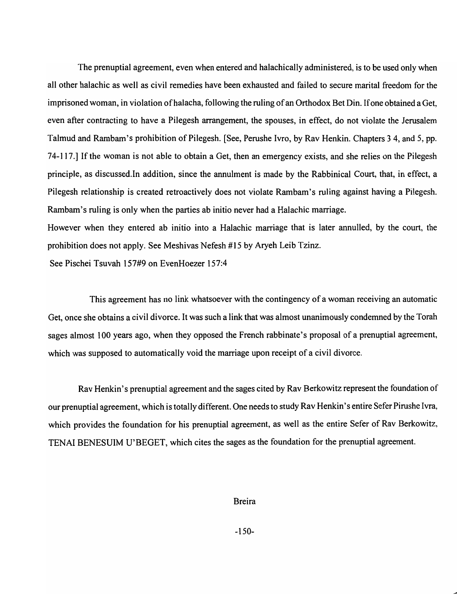The prenuptial agreement, even when entered and halachically administered, is to be used only when all other halachic as well as civil remedies have been exhausted and failed to secure marital freedom for the imprisoned woman, in violation ofhalacha, following the ruling of an Orthodox Bet Din. If one obtained a Get, even after contracting to have a Pilegesh arrangement, the spouses, in effect, do not violate the Jerusalem Talmud and Rambam's prohibition of Pilegesh. [See, Perushe Ivro, by Rav Henkin. Chapters 3 4, and 5, pp. 74-117.] If the woman is not able to obtain a Get, then an emergency exists, and she relies on the Pilegesh principle, as discussed.ln addition, since the annulment is made by the Rabbinical Court, that, in effect, a Pilegesh relationship is created retroactively does not violate Rambam's ruling against having a Pilegesh. Rambam's ruling is only when the parties ab initio never had a Halachic marriage.

However when they entered ab initio into a Halachic marriage that is later annulled, by the court, the prohibition does not apply. See Meshivas Nefesh #15 by Aryeh Leib Tzinz.

See Pischei Tsuvah 157#9 on EvenHoezer 157:4

This agreement has no link whatsoever with the contingency of a woman receiving an automatic Get, once she obtains a civil divorce. It was such a link that was almost unanimously condemned by the Torah sages almost 100 years ago, when they opposed the French rabbinate's proposal of a prenuptial agreement, which was supposed to automatically void the marriage upon receipt of a civil divorce.

Rav Henkin's prenuptial agreement and the sages cited by Rav Berkowitz represent the foundation of our prenuptial agreement, which is totally different. One needs to study Rav Henkin's entire Sefer Pirushe Ivra, which provides the foundation for his prenuptial agreement, as well as the entire Sefer of Rav Berkowitz, TENAI BENESUIM U'BEGET, which cites the sages as the foundation for the prenuptial agreement.

#### Breira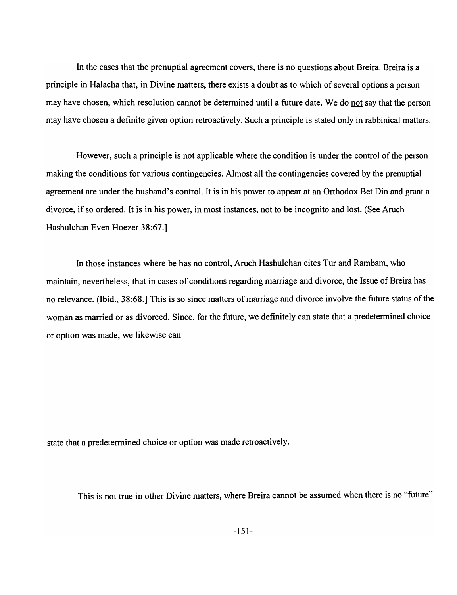In the cases that the prenuptial agreement covers, there is no questions about Breira. Breira is a principle in Halacha that, in Divine matters, there exists a doubt as to which of several options a person may have chosen, which resolution cannot be determined until a future date. We do not say that the person may have chosen a definite given option retroactively. Such a principle is stated only in rabbinical matters.

However, such a principle is not applicable where the condition is under the control of the person making the conditions for various contingencies. Almost all the contingencies covered by the prenuptial agreement are under the husband's control. It is in his power to appear at an Orthodox Bet Din and grant a divorce, if so ordered. It is in his power, in most instances, not to be incognito and lost. (See Aruch Hashulchan Even Hoezer 38:67.]

In those instances where be has no control, Aruch Hashulchan cites Tur and Rambam, who maintain, nevertheless, that in cases of conditions regarding marriage and divorce, the Issue of Breira has no relevance. (Ibid., 38:68.] This is so since matters of marriage and divorce involve the future status of the woman as married or as divorced. Since, for the future, we definitely can state that a predetermined choice or option was made, we likewise can

state that a predetermined choice or option was made retroactively.

This is not true in other Divine matters, where Breira cannot be assumed when there is no "future"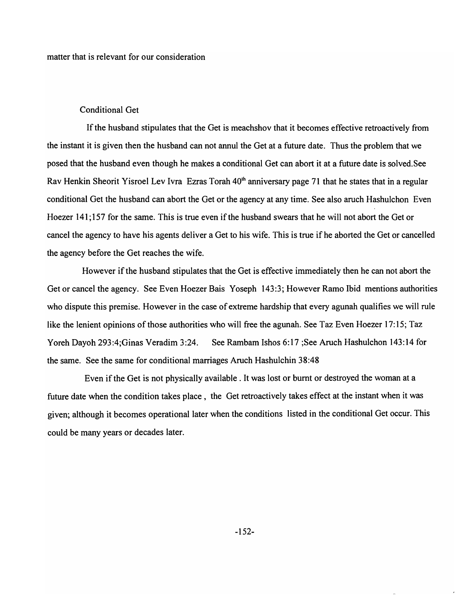## Conditional Get

If the husband stipulates that the Get is meachshov that it becomes effective retroactively from the instant it is given then the husband can not annul the Get at a future date. Thus the problem that we posed that the husband even though he makes a conditional Get can abort it at a future date is solved. See Rav Henkin Sheorit Yisroel Lev Ivra Ezras Torah 40<sup>th</sup> anniversary page 71 that he states that in a regular conditional Get the husband can abort the Get or the agency at any time. See also aruch Hashulchon Even Hoezer 141; 157 for the same. This is true even if the husband swears that he will not abort the Get or cancel the agency to have his agents deliver a Get to his wife. This is true if he aborted the Get or cancelled the agency before the Get reaches the wife.

However if the husband stipulates that the Get is effective immediately then he can not abort the Get or cancel the agency. See Even Hoezer Bais Yoseph 143:3; However Ramo Ibid mentions authorities who dispute this premise. However in the case of extreme hardship that every agunah qualifies we will rule like the lenient opinions of those authorities who will free the agunah. See Taz Even Hoezer 17:15; Taz Yoreh Dayoh 293:4;Ginas Veradim 3:24. See Rambam Ishos 6:17 ;See Aruch Hashulchon 143:14 for the same. See the same for conditional marriages Aruch Hashulchin 38:48

Even if the Get is not physically available. It was lost or burnt or destroyed the woman at a future date when the condition takes place, the Get retroactively takes effect at the instant when it was given; although it becomes operational later when the conditions listed in the conditional Get occur. This could be many years or decades later.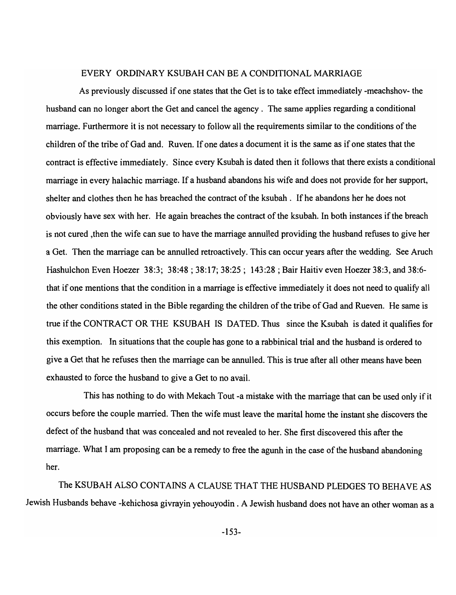#### EVERY ORDINARY KSUBAH CAN BE A CONDITIONAL MARRIAGE

As previously discussed if one states that the Get is to take effect immediately -meachshov- the husband can no longer abort the Get and cancel the agency. The same applies regarding a conditional marriage. Furthermore it is not necessary to follow all the requirements similar to the conditions of the children of the tribe of Gad and. Ruven. If one dates a document it is the same as if one states that the contract is effective immediately. Since every Ksubah is dated then it follows that there exists a conditional marriage in every halachic marriage. If a husband abandons his wife and does not provide for her support, shelter and clothes then he has breached the contract of the ksubah. If he abandons her he does not obviously have sex with her. He again breaches the contract of the ksubah. In both instances if the breach is not cured ,then the wife can sue to have the marriage annulled providing the husband refuses to give her a Get. Then the marriage can be annulled retroactively. This can occur years after the wedding. See Aruch Hashulchon Even Hoezer 38:3; 38:48; 38:17; 38:25; 143:28; Bair Haitiv even Hoezer 38:3, and 38:6that if one mentions that the condition in a marriage is effective immediately it does not need to qualify all the other conditions stated in the Bible regarding the children of the tribe of Gad and Rueven. He same is true if the CONTRACT OR THE KSUBAH IS DATED. Thus since the Ksubah is dated it qualifies for this exemption. In situations that the couple has gone to a rabbinical trial and the husband is ordered to give a Get that he refuses then the marriage can be annulled. This is true after all other means have been exhausted to force the husband to give a Get to no avail.

This has nothing to do with Mekach Tout -a mistake with the marriage that can be used only if it occurs before the couple married. Then the wife must leave the marital home the instant she discovers the defect of the husband that was concealed and not revealed to her. She first discovered this after the marriage. What I am proposing can be a remedy to free the agunh in the case of the husband abandoning her.

The KSUBAH ALSO CONTAINS A CLAUSE THAT THE HUSBAND PLEDGES TO BEHAVE AS Jewish Husbands behave -kehichosa givrayin yehouyodin. A Jewish husband does not have an other woman as a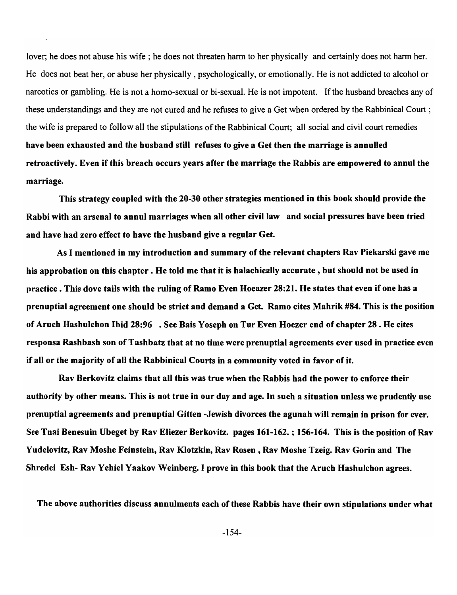lover; he does not abuse his wife; he does not threaten harm to her physically and certainly does not harm her. He does not beat her, or abuse her physically, psychologically, or emotionally. He is not addicted to alcohol or narcotics or gambling. He is not a homo-sexual or bi-sexual. He is not impotent. If the husband breaches any of these understandings and they are not cured and he refuses to give a Get when ordered by the Rabbinical Court ; the wife is prepared to follow all the stipulations of the Rabbinical Court; all social and civil court remedies have been exhausted and the husband still refuses to give a Get then the marriage is annulled retroactively. Even if this breach occurs years after the marriage the Rabbis are empowered to annul the marriage.

This strategy coupled with the 20-30 other strategies mentioned in this book should provide the Rabbi with an arsenal to annul marriages when all other civil law and social pressures have been tried and have had zero effect to have the husband give a regular Get.

As I mentioned in my introduction and summary of the relevant chapters Rav Piekarski gave me his approbation on this chapter. He told me that it is halachically accurate, but should not be used in practice. This dove tails with the ruling of Ramo Even Hoeazer 28:21. He states that even if one has a prenuptial agreement one should be strict and demand a Get. Ramo cites Mahrik #84. This is the position of Aruch Hashulchon Ibid 28:96 . See Bais Yoseph on Tur Even Hoezer end of chapter 28 . He cites responsa Rashbash son of Tashbatz that at no time were prenuptial agreements ever used in practice even if all or the majority of all the Rabbinical Courts in a community voted in favor of it.

Rav Berkovitz claims that all this was true when the Rabbis had the power to enforce their authority by other means. This is not true in our day and age. In such a situation unless we prudently use prenuptial agreements and prenuptial Gitten -Jewish divorces the agunah will remain in prison for ever. See Tnai Benesuin Ubeget by Rav Eliezer Berkovitz. pages 161-162. ; 156-164. This is the position of Rav Yudelovitz, Rav Moshe Feinstein, Rav Klotzkin, Rav Rosen, Rav Moshe Tzeig. Rav Gorin and The Shredei Esh- Rav Yehiel Yaakov Weinberg. I prove in this book that the Aruch Hashulchon agrees.

The above authorities discuss annulments each of these Rabbis have their own stipulations under what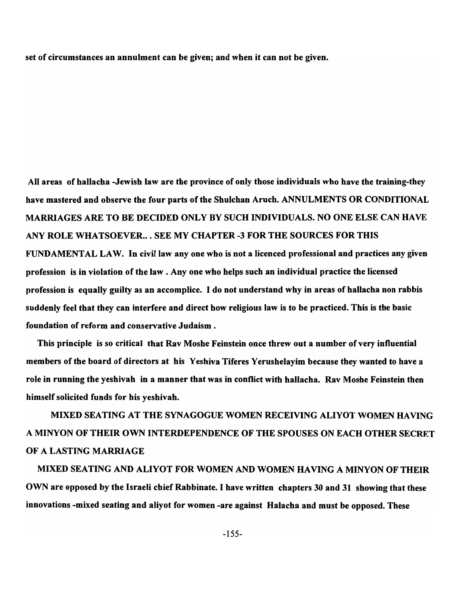set of circumstances an annulment can be given; and when it can not be given.

All areas of hallacha -Jewish law are the province of only those individuals who have the training-they have mastered and observe the four parts of the Shulchan Aruch. ANNULMENTS OR CONDITIONAL MARRIAGES ARE TO BE DECIDED ONLY BY SUCH INDIVIDUALS. NO ONE ELSE CAN HAVE ANY ROLE WHATSOEVER... SEE MY CHAPTER -3 FOR THE SOURCES FOR THIS FUNDAMENTAL LAW. In civil law anyone who is not a licenced professional and practices any given profession is in violation of the law. Anyone who helps such an individual practice the licensed profession is equally guilty as an accomplice. I do not understand why in areas of hallacha non rabbis suddenly feel that they can interfere and direct how religious law is to be practiced. This is the basic foundation of reform and conservative Judaism.

This principle is so critical that Rav Moshe Feinstein once threw out a number of very influential members of the board of directors at his Yeshiva Tiferes Yerushelayim because they wanted to have a role in running the yeshivah in a manner that was in conflict with hallacha. Rav Moshe Feinstein then himself solicited funds for his yeshivah.

MIXED SEATING AT THE SYNAGOGUE WOMEN RECEIVING ALIYOT WOMEN HAVING A MINYON OF THEIR OWN INTERDEPENDENCE OF THE SPOUSES ON EACH OTHER SECRET OF A LASTING MARRIAGE

MIXED SEATING AND ALIYOT FOR WOMEN AND WOMEN HAVING A MINYON OF THEIR OWN are opposed by the Israeli chief Rabbinate. I have written chapters 30 and 31 showing that these innovations -mixed seating and aliyot for women -are against Halacha and must be opposed. These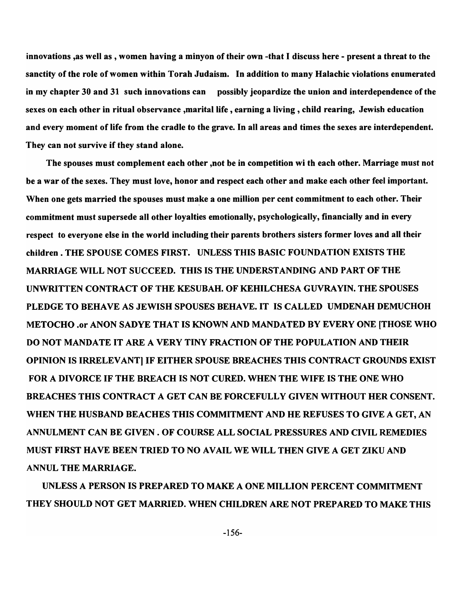innovations ,as well as , women having a minyon of their own -that I discuss here - present a threat to the sanctity of the role of women within Torah Judaism. In addition to many Halachic violations enumerated in my chapter 30 and 31 such innovations can possibly jeopardize the union and interdependence of the sexes on each other in ritual observance ,marital life , earning a living, child rearing, Jewish education and every moment of life from the cradle to the grave. In all areas and times the sexes are interdependent. They can not survive if they stand alone.

The spouses must complement each other ,not be in competition wi th each other. Marriage must not be a war of the sexes. They must love, honor and respect each other and make each other feel important. When one gets married the spouses must make a one million per cent commitment to each other. Their commitment must supersede all other loyalties emotionally, psychologically, financially and in every respect to everyone else in the world including their parents brothers sisters former loves and all their children. THE SPOUSE COMES FIRST. UNLESS THIS BASIC FOUNDATION EXISTS THE MARRIAGE WILL NOT SUCCEED. THIS IS THE UNDERSTANDING AND PART OF THE UNWRITTEN CONTRACT OF THE KESUBAH. OF KEHILCHESA GUVRA YIN. THE SPOUSES PLEDGE TO BEHAVE AS JEWISH SPOUSES BEHAVE. IT IS CALLED UMDENAH DEMUCHOH METOCHO .or ANON SADYE THAT IS KNOWN AND MANDATED BY EVERY ONE [THOSE WHO DO NOT MANDATE IT ARE A VERY TINY FRACTION OF THE POPULATION AND THEIR OPINION IS IRRELEVANT] IF EITHER SPOUSE BREACHES THIS CONTRACT GROUNDS EXIST FOR A DIVORCE IF THE BREACH IS NOT CURED. WHEN THE WIFE IS THE ONE WHO BREACHES THIS CONTRACT A GET CAN BE FORCEFULLY GIVEN WITHOUT HER CONSENT. WHEN THE HUSBAND BEACHES THIS COMMITMENT AND HE REFUSES TO GIVE A GET, AN ANNULMENT CAN BE GIVEN. OF COURSE ALL SOCIAL PRESSURES AND CIVIL REMEDIES MUST FIRST HAVE BEEN TRIED TO NO AVAIL WE WILL THEN GIVE A GET ZIKU AND ANNUL THE MARRIAGE.

UNLESS A PERSON IS PREPARED TO MAKE A ONE MILLION PERCENT COMMITMENT THEY SHOULD NOT GET MARRIED. WHEN CHILDREN ARE NOT PREPARED TO MAKE THIS

-156-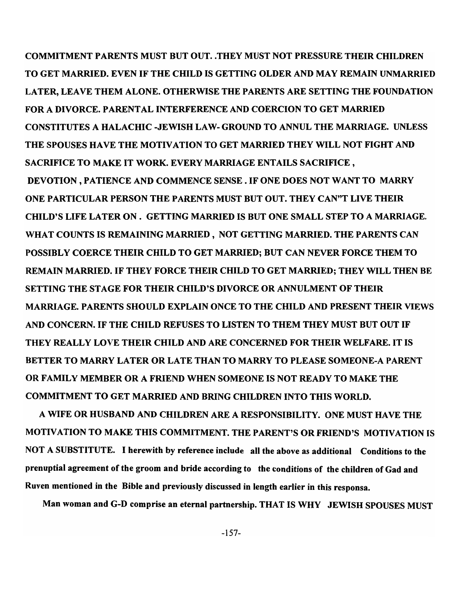COMMITMENT PARENTS MUST BUT OUT .. THEY MUST NOT PRESSURE THEIR CHILDREN TO GET MARRIED. EVEN IF THE CHILD IS GETTING OLDER AND MAY REMAIN UNMARRIED LATER, LEAVE THEM ALONE. OTHERWISE THE PARENTS ARE SETTING THE FOUNDATION FOR A DIVORCE. PARENTAL INTERFERENCE AND COERCION TO GET MARRIED CONSTITUTES A HALACHIC -JEWISH LAW- GROUND TO ANNUL THE MARRIAGE. UNLESS THE SPOUSES HAVE THE MOTIVATION TO GET MARRIED THEY WILL NOT FIGHT AND SACRIFICE TO MAKE IT WORK. EVERY MARRIAGE ENTAILS SACRIFICE, DEVOTION, PATIENCE AND COMMENCE SENSE. IF ONE DOES NOT WANT TO MARRY ONE PARTICULAR PERSON THE PARENTS MUST BUT OUT. THEY CAN"T LIVE THEIR CHILD'S LIFE LATER ON. GETTING MARRIED IS BUT ONE SMALL STEP TO A MARRIAGE. WHAT COUNTS IS REMAINING MARRIED, NOT GETTING MARRIED. THE PARENTS CAN POSSIBLY COERCE THEIR CHILD TO GET MARRIED; BUT CAN NEVER FORCE THEM TO REMAIN MARRIED. IF THEY FORCE THEIR CHILD TO GET MARRIED; THEY WILL THEN BE SETTING THE STAGE FOR THEIR CHILD'S DIVORCE OR ANNULMENT OF THEIR MARRIAGE. PARENTS SHOULD EXPLAIN ONCE TO THE CHILD AND PRESENT THEIR VIEWS AND CONCERN. IF THE CHILD REFUSES TO LISTEN TO THEM THEY MUST BUT OUT IF THEY REALLY LOVE THEIR CHILD AND ARE CONCERNED FOR THEIR WELFARE. IT IS BETTER TO MARRY LATER OR LATE THAN TO MARRY TO PLEASE SOMEONE-A PARENT OR FAMILY MEMBER OR A FRIEND WHEN SOMEONE IS NOT READY TO MAKE THE COMMITMENT TO GET MARRIED AND BRING CHILDREN INTO THIS WORLD.

A WIFE OR HUSBAND AND CHILDREN ARE A RESPONSIBILITY. ONE MUST HAVE THE MOTIVATION TO MAKE THIS COMMITMENT. THE PARENT'S OR FRIEND'S MOTIVATION IS NOT A SUBSTITUTE. I herewith by reference include all the above as additional Conditions to the prenuptial agreement of the groom and bride according to the conditions of the children of Gad and Ruven mentioned in the Bible and previously discussed in length earlier in this responsa.

Man woman and G-D comprise an eternal partnership. THAT IS WHY JEWISH SPOUSES MUST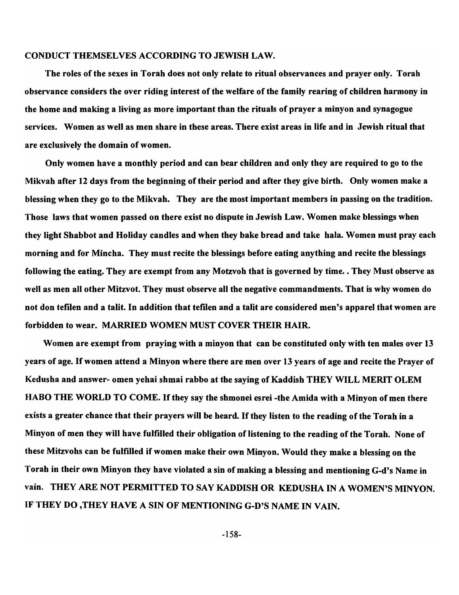#### CONDUCT THEMSELVES ACCORDING TO JEWISH LAW.

The roles of the sexes in Torah does not only relate to ritual observances and prayer only. Torah observance considers the over riding interest of the welfare of the family rearing of children harmony in the home and making a living as more important than the rituals of prayer a minyon and synagogue services. Women as well as men share in these areas. There exist areas in life and in Jewish ritual that are exclusively the domain of women.

Only women have a monthly period and can bear children and only they are required to go to the Mikvah after 12 days from the beginning of their period and after they give birth. Only women make a blessing when they go to the Mikvah. They are the most important members in passing on the tradition. Those laws that women passed on there exist no dispute in Jewish Law. Women make blessings when they light Shabbot and Holiday candles and when they bake bread and take hala. Women must pray each morning and for Mincha. They must recite the blessings before eating anything and recite the blessings following the eating. They are exempt from any Motzvoh that is governed by time. . They Must observe as well as men all other Mitzvot. They must observe all the negative commandments. That is why women do not don tefilen and a talit. In addition that tefilen and a talit are considered men's apparel that women are forbidden to wear. MARRIED WOMEN MUST COVER THEIR HAIR.

Women are exempt from praying with a minyon that can be constituted only with ten males over 13 years of age. If women attend a Minyon where there are men over 13 years of age and recite the Prayer of Kedusha and answer- omen yehai shmai rabbo at the saying of Kaddish THEY WILL MERIT OLEM HABO THE WORLD TO COME. If they say the shmonei esrei -the Amida with a Minyon of men there exists a greater chance that their prayers will be heard. If they listen to the reading of the Torah in a Minyon of men they will have fulfilled their obligation of listening to the reading of the Torah. None of these Mitzvohs can be fulfilled if women make their own Minyon. Would they make a blessing on the Torah in their own Minyon they have violated a sin of making a blessing and mentioning G-d's Name in vain. THEY ARE NOT PERMITTED TO SAY KADDISH OR KEDUSHA IN A WOMEN'S MINYON. IF THEY DO ,THEY HAVE A SIN OF MENTIONING G-D'S NAME IN VAIN.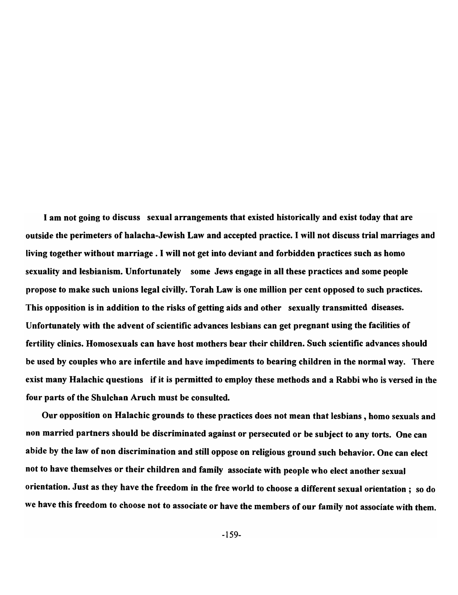I am not going to discuss sexual arrangements that existed historically and exist today that are outside the perimeters of halacha-Jewish Law and accepted practice. I will not discuss trial marriages and living together without marriage. I will not get into deviant and forbidden practices such as homo sexuality and lesbianism. Unfortunately some Jews engage in all these practices and some people propose to make such unions legal civilly. Torah Law is one million per cent opposed to such practices. This opposition is in addition to the risks of getting aids and other sexually transmitted diseases. Unfortunately with the advent of scientific advances lesbians can get pregnant using the facilities of fertility clinics. Homosexuals can have host mothers bear their children. Such scientific advances should be used by couples who are infertile and have impediments to bearing children in the normal way. There exist many Halachic questions if it is permitted to employ these methods and a Rabbi who is versed in the four parts of the Shulchan Aruch must be consulted.

Our opposition on Halachic grounds to these practices does not mean that lesbians, homo sexuals and non married partners should be discriminated against or persecuted or be subject to any torts. One can abide by the law of non discrimination and still oppose on religious ground such behavior. One can elect not to have themselves or their children and family associate with people who elect another sexual orientation. Just as they have the freedom in the free world to choose a different sexual orientation; so do we have this freedom to choose not to associate or have the members of our family not associate with them.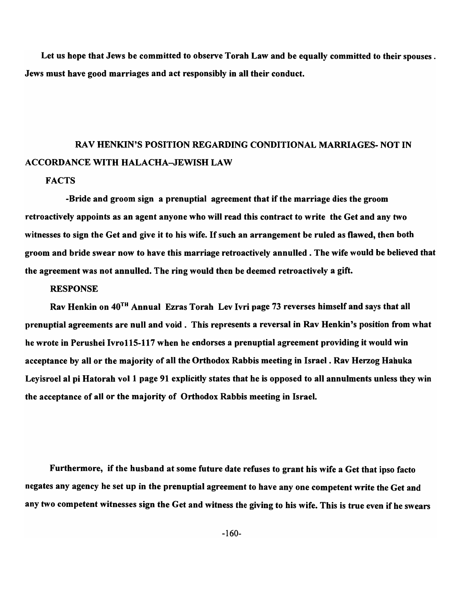Let us hope that Jews be committed to observe Torah Law and be equally committed to their spouses. Jews must have good marriages and act responsibly in all their conduct.

# RAV HENKIN'S POSITION REGARDING CONDITIONAL MARRIAGES- NOT IN ACCORDANCE WITH HALACHA-JEWISH LAW

## **FACTS**

-Bride and groom sign a prenuptial agreement that if the marriage dies the groom retroactively appoints as an agent anyone who will read this contract to write the Get and any two witnesses to sign the Get and give it to his wife. If such an arrangement be ruled as flawed, then both groom and bride swear now to have this marriage retroactively annulled. The wife would be believed that the agreement was not annulled. The ring would then be deemed retroactively a gift.

## **RESPONSE**

Rav Henkin on 40TH Annual Ezras Torah Lev Ivri page 73 reverses himself and says that all prenuptial agreements are null and void. This represents a reversal in Rav Henkin's position from what he wrote in Perushei Ivro115-117 when he endorses a prenuptial agreement providing it would win acceptance by all or the majority of all the Orthodox Rabbis meeting in Israel. Rav Herzog Hahuka Leyisroel al pi Hatorah vol 1 page 91 explicitly states that he is opposed to all annulments unless they win the acceptance of all or the majority of Orthodox Rabbis meeting in Israel.

Furthermore, if the husband at some future date refuses to grant his wife a Get that ipso facto negates any agency he set up in the prenuptial agreement to have anyone competent write the Get and any two competent witnesses sign the Get and witness the giving to his wife. This is true even if he swears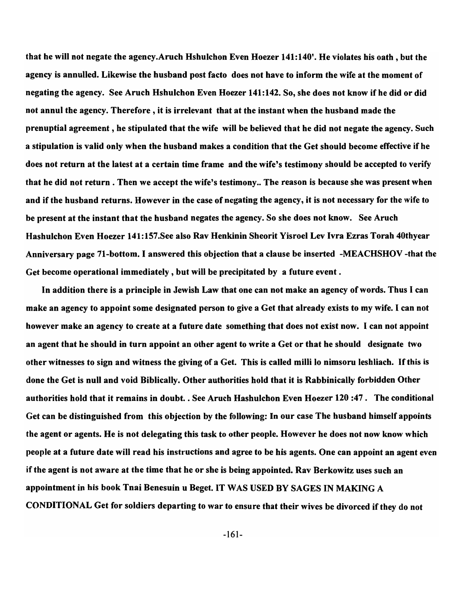that he will not negate the agency.Aruch Hshulchon Even Hoezer 141:140'. He violates his oath, but the agency is annulled. Likewise the husband post facto does not have to inform the wife at the moment of negating the agency. See Aruch Hshulchon Even Hoezer 141:142. So, she does not know if he did or did not annul the agency. Therefore, it is irrelevant that at the instant when the husband made the prenuptial agreement, he stipulated that the wife will be believed that he did not negate the agency. Such a stipulation is valid only when the husband makes a condition that the Get should become effective if he does not return at the latest at a certain time frame and the wife's testimony should be accepted to verify that he did not return. Then we accept the wife's testimony .. The reason is because she was present when and if the husband returns. However in the case of negating the agency, it is not necessary for the wife to be present at the instant that the husband negates the agency. So she does not know. See Aruch Hashulchon Even Hoezer 141:157.See also Rav Henkinin Sheorit Yisroel Lev Ivra Ezras Torah 40thyear Anniversary page 71-bottom. I answered this objection that a clause be inserted -MEACHSHOV -that the Get become operational immediately , but will be precipitated by a future event.

In addition there is a principle in Jewish Law that one can not make an agency of words. Thus I can make an agency to appoint some designated person to give a Get that already exists to my wife. I can not however make an agency to create at a future date something that does not exist now. I can not appoint an agent that he should in turn appoint an other agent to write a Get or that he should designate two other witnesses to sign and witness the giving of a Get. This is called milli 10 nimsoru leshliach. If this is done the Get is null and void Biblically. Other authorities hold that it is Rabbinically forbidden Other authorities hold that it remains in doubt .. See Aruch Hashulchon Even Hoezer 120 :47. The conditional Get can be distinguished from this objection by the following: In our case The husband himself appoints the agent or agents. He is not delegating this task to other people. However he does not now know which people at a future date will read his instructions and agree to be his agents. One can appoint an agent even if the agent is not aware at the time that he or she is being appointed. Rav Berkowitz uses such an appointment in his book Tnai Benesuin u Beget. IT WAS USED BY SAGES IN MAKING A CONDITIONAL Get for soldiers departing to war to ensure that their wives be divorced if they do not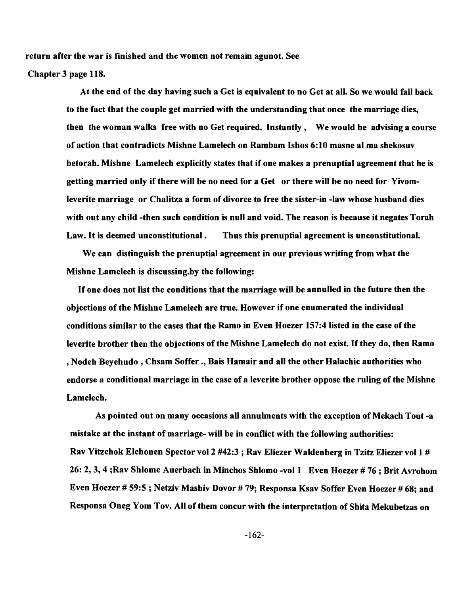return after the war is finished and the women not remain agunot. See

## Chapter 3 page 118.

At the end of the day having such a Get is equivalent to no Get at all. So we would fall back to the fact that the couple get married with the understanding that once the marriage dies, then the woman walks free with no Get required. Instantly, We would be advising a course of action that contradicts Mishne Lamelech on Rambam Ishos 6:10 masne al ma shekosuv betorah. Mishne Lamelech explicitly states that if one makes a prenuptial agreement that he is getting married only if there will be no need for a Get or there will be no need for Yivomleverite marriage or Chalitza a form of divorce to free the sister-in -law whose husband dies with out any child -then such condition is null and void. The reason is because it negates Torah Law. It is deemed unconstitutional. Thus this prenuptial agreement is unconstitutional.

We can distinguish the prenuptial agreement in our previous writing from what the Mishne Lamelech is discussing.by the following:

If one does not list the conditions that the marriage will be annulled in the future then the objections of the Mishne Lamelech are true. However if one enumerated the individual conditions similar to the cases that the Ramo in Even Hoezer 157:4 listed in the case of the leverite brother then the objections of the Mishne Lamelech do not exist. If they do, then Ramo , Nodeh Beyehudo , Chsam Soffer ., Bais Hamair and all the other Halachic authorities who endorse a conditional marriage in the case of a leverite brother oppose the ruling of the Mishne Lamelech.

As pointed out on many occasions all annulments with the exception of Mekach Tout -a mistake at the instant of marriage- will be in conflict with the following authorities: Rav Yitzchok Elchonen Spector vol 2 #42:3 ; Rav Eliezer Walden berg in Tzitz Eliezer vol I # 26: 2, 3, 4 ;Rav Shlome Auerbach in Minchos Shlomo -vol 1 Even Hoezer # 76 ; Brit Avrohom Even Hoezer # 59:5 ; Netziv Mashiv Dovor # 79; Responsa Ksav Soffer Even Hoezer # 68; and Responsa Oneg Yom Tov. All of them concur with the interpretation of Shita Mekubetzas on